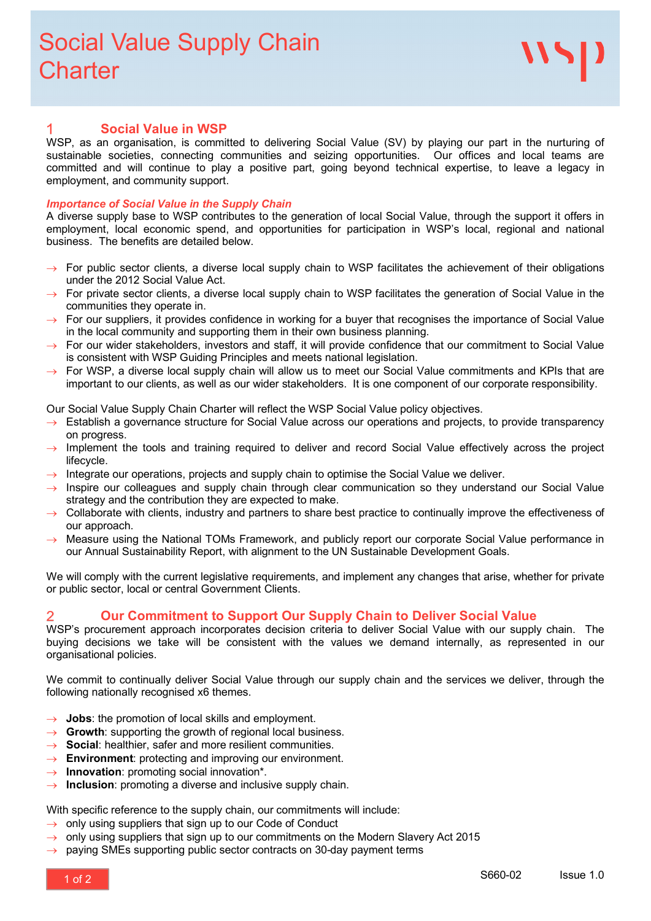#### **Social Value in WSP** 1

WSP, as an organisation, is committed to delivering Social Value (SV) by playing our part in the nurturing of sustainable societies, connecting communities and seizing opportunities. Our offices and local teams are committed and will continue to play a positive part, going beyond technical expertise, to leave a legacy in employment, and community support.

#### *Importance of Social Value in the Supply Chain*

A diverse supply base to WSP contributes to the generation of local Social Value, through the support it offers in employment, local economic spend, and opportunities for participation in WSP's local, regional and national business. The benefits are detailed below.

- For public sector clients, a diverse local supply chain to WSP facilitates the achievement of their obligations under the 2012 Social Value Act.
- $\rightarrow$  For private sector clients, a diverse local supply chain to WSP facilitates the generation of Social Value in the communities they operate in.
- $\rightarrow$  For our suppliers, it provides confidence in working for a buyer that recognises the importance of Social Value in the local community and supporting them in their own business planning.
- $\rightarrow$  For our wider stakeholders, investors and staff, it will provide confidence that our commitment to Social Value is consistent with WSP Guiding Principles and meets national legislation.
- For WSP, a diverse local supply chain will allow us to meet our Social Value commitments and KPIs that are important to our clients, as well as our wider stakeholders. It is one component of our corporate responsibility.

Our Social Value Supply Chain Charter will reflect the WSP Social Value policy objectives.

- Establish a governance structure for Social Value across our operations and projects, to provide transparency on progress.
- $\rightarrow$  Implement the tools and training required to deliver and record Social Value effectively across the project lifecycle.
- $\rightarrow$  Integrate our operations, projects and supply chain to optimise the Social Value we deliver.
- Inspire our colleagues and supply chain through clear communication so they understand our Social Value strategy and the contribution they are expected to make.
- Collaborate with clients, industry and partners to share best practice to continually improve the effectiveness of our approach.
- Measure using the National TOMs Framework, and publicly report our corporate Social Value performance in our Annual Sustainability Report, with alignment to the UN Sustainable Development Goals.

We will comply with the current legislative requirements, and implement any changes that arise, whether for private or public sector, local or central Government Clients.

## **Our Commitment to Support Our Supply Chain to Deliver Social Value**

WSP's procurement approach incorporates decision criteria to deliver Social Value with our supply chain. The buying decisions we take will be consistent with the values we demand internally, as represented in our organisational policies.

We commit to continually deliver Social Value through our supply chain and the services we deliver, through the following nationally recognised x6 themes.

- $\rightarrow$  **Jobs**: the promotion of local skills and employment.
- $\rightarrow$  **Growth**: supporting the growth of regional local business.
- → **Social**: healthier, safer and more resilient communities.
- $\rightarrow$  **Environment**: protecting and improving our environment.
- → **Innovation**: promoting social innovation\*.
- **Inclusion**: promoting a diverse and inclusive supply chain.

With specific reference to the supply chain, our commitments will include:

- $\rightarrow$  only using suppliers that sign up to our Code of Conduct
- $\rightarrow$  only using suppliers that sign up to our commitments on the Modern Slavery Act 2015
- $\rightarrow$  paying SMEs supporting public sector contracts on 30-day payment terms